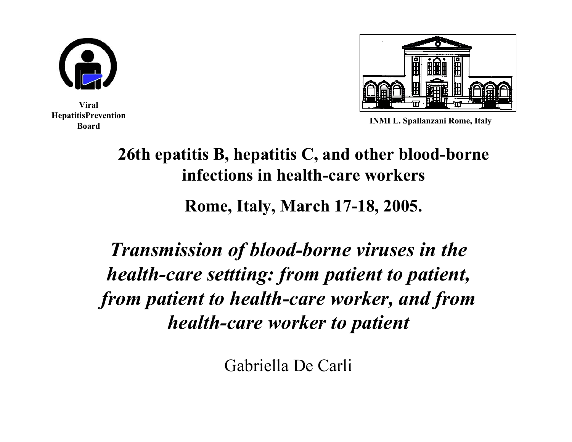

**Viral HepatitisPrevention Board**



**INMI L. Spallanzani Rome, Italy**

#### **26th epatitis B, hepatitis C, and other blood-borne infections in health-care workers**

**Rome, Italy, March 17-18, 2005.**

*Transmission of blood-borne viruses in the health-care settting: from patient to patient, from patient to health-care worker, and from health-care worker to patient*

Gabriella De Carli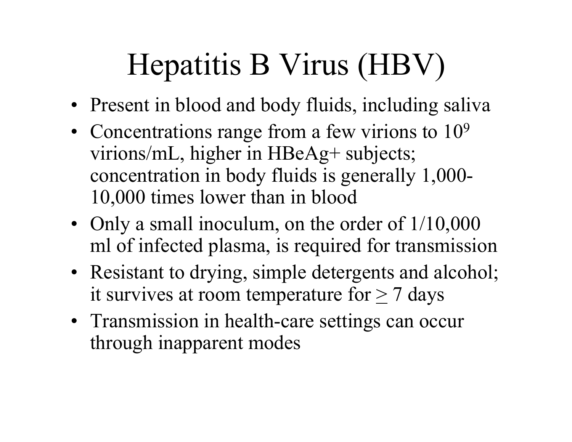# Hepatitis B Virus (HBV)

- Present in blood and body fluids, including saliva
- Concentrations range from a few virions to  $10^9$ virions/mL, higher in HBeAg+ subjects; concentration in body fluids is generally 1,000- 10,000 times lower than in blood
- Only a small inoculum, on the order of  $1/10,000$ ml of infected plasma, is required for transmission
- Resistant to drying, simple detergents and alcohol; it survives at room temperature for  $> 7$  days
- Transmission in health-care settings can occur through inapparent modes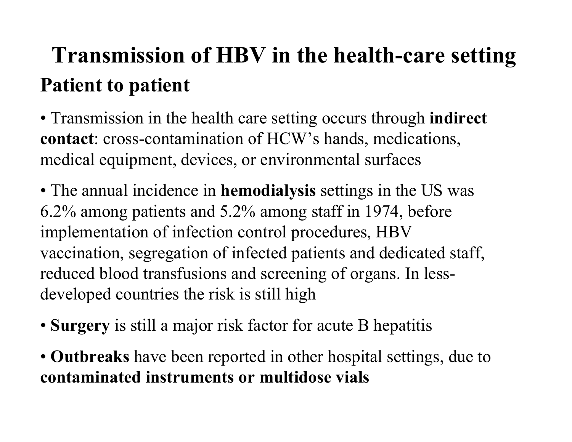# **Transmission of HBV in the health-care setting Patient to patient**

- Transmission in the health care setting occurs through **indirect contact**: cross-contamination of HCW's hands, medications, medical equipment, devices, or environmental surfaces
- The annual incidence in **hemodialysis** settings in the US was 6.2% among patients and 5.2% among staff in 1974, before implementation of infection control procedures, HBV vaccination, segregation of infected patients and dedicated staff, reduced blood transfusions and screening of organs. In lessdeveloped countries the risk is still high
- **Surgery** is still a major risk factor for acute B hepatitis
- **Outbreaks** have been reported in other hospital settings, due to **contaminated instrumentsor multidose vials**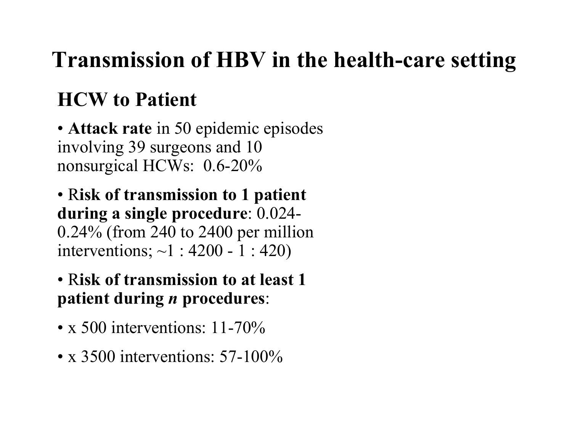# **Transmission of HBV in the health-care setting**

### **HCW to Patient**

• **Attack rate** in 50 epidemic episodes involving 39 surgeons and 10 nonsurgical HCWs: 0.6-20%

• R**isk of transmission to 1 patient during a single procedure**: 0.024- 0.24% (from 240 to 2400 per million interventions; ~1 : 4200 - 1 : 420)

#### • R**isk of transmission to at least 1 patient during**  *n* **procedures**:

- x 500 interventions: 11-70%
- x 3500 interventions: 57-100%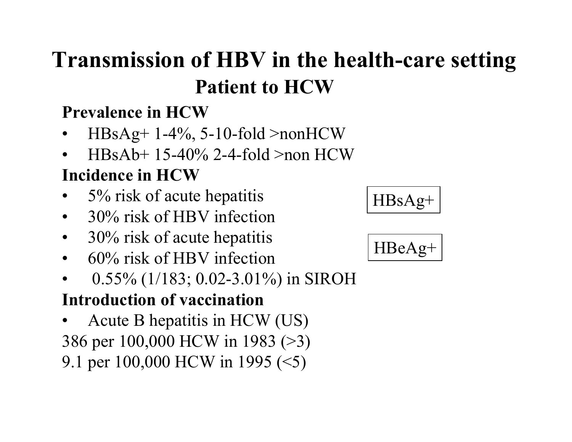## **Transmission of HBV in the health-care setting Patient to HCW**

#### **Prevalence in HCW**

- • $HBsAg+1-4\%, 5-10-fold>nonHCW$
- •HBsAb+ 15-40% 2-4-fold >non HCW

#### **Incidence in HCW**

- •5% risk of acute hepatitis
- •30% risk of HBV infection
- $\bullet$ 30% risk of acute hepatitis
- •60% risk of HBV infection
- •0.55% (1/183; 0.02-3.01%) in SIROH

#### **Introduction of vaccination**

•Acute B hepatitis in HCW (US) 386 per 100,000 HCW in 1983 (>3) 9.1 per 100,000 HCW in 1995 (<5)

$$
\fbox{HBsAg+}
$$

$$
\fbox{HBeAg+}
$$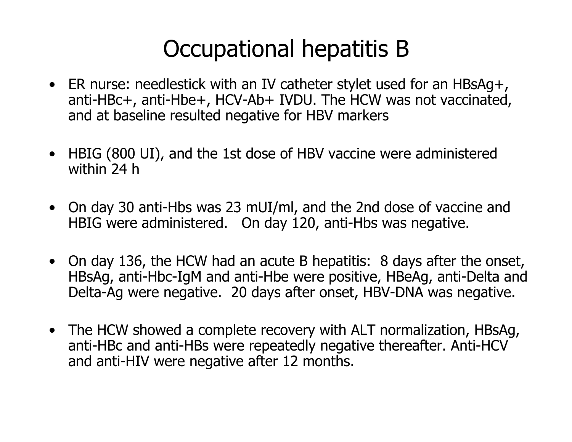## Occupational hepatitis B

- ER nurse: needlestick with an IV catheter stylet used for an HBsAg+, anti-HBc+, anti-Hbe+, HCV-Ab+ IVDU. The HCW was not vaccinated, and at baseline resulted negative for HBV markers
- HBIG (800 UI), and the 1st dose of HBV vaccine were administered within 24 h
- On day 30 anti-Hbs was 23 mUI/ml, and the 2nd dose of vaccine and HBIG were administered. On day 120, anti-Hbs was negative.
- On day 136, the HCW had an acute B hepatitis: 8 days after the onset, HBsAg, anti-Hbc-IgM and anti-Hbe were positive, HBeAg, anti-Delta and Delta-Ag were negative. 20 days after onset, HBV-DNA was negative.
- The HCW showed a complete recovery with ALT normalization, HBsAg, anti-HBc and anti-HBs were repeatedly negative thereafter. Anti-HCV and anti-HIV were negative after 12 months.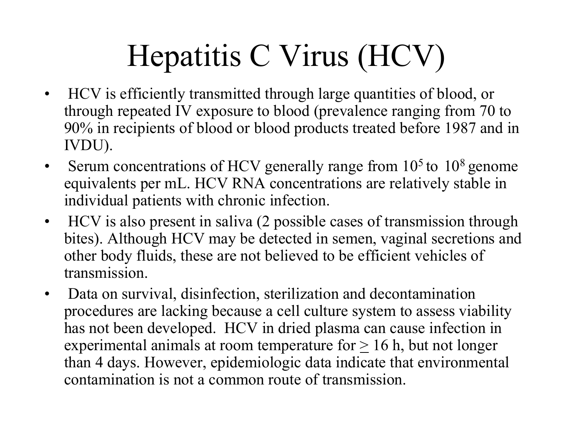# Hepatitis C Virus (HCV)

- HCV is efficiently transmitted through large quantities of blood, or through repeated IV exposure to blood (prevalence ranging from 70 to 90% in recipients of blood or blood products treated before 1987 and in IVDU).
- Serum concentrations of HCV generally range from  $10<sup>5</sup>$  to  $10<sup>8</sup>$  genome equivalents per mL. HCV RNA concentrations are relatively stable in individual patients with chronic infection.
- HCV is also present in saliva (2 possible cases of transmission through bites). Although HCV may be detected in semen, vaginal secretions and other body fluids, these are not believed to be efficient vehicles of transmission.
- Data on survival, disinfection, sterilization and decontamination procedures are lacking because a cell culture system to assess viability has not been developed. HCV in dried plasma can cause infection in experimental animals at room temperature for  $\geq 16$  h, but not longer than 4 days. However, epidemiologi c data indicate that environmental contamination is not a common route of transmission.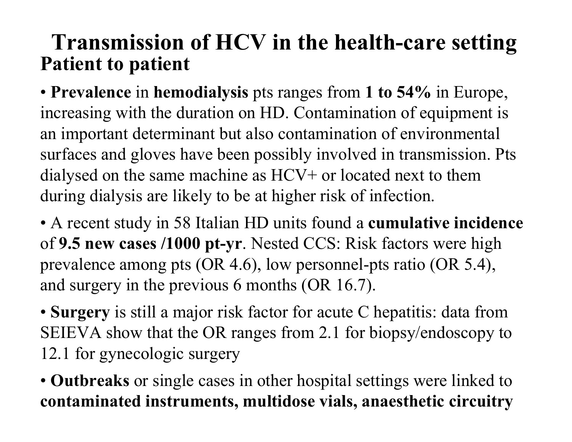#### **Transmission of HCV in the health-care setting Patient to patient**

• **Prevalence** in **hemodialysis** pts ranges from **1 to 54%** in Europe, increasing with the duration on HD. Contamination of equipment is an important determinant but also contamination of environmental surfaces and gloves have been possibly involved in transmission. Pts dialysed on the same machine as HCV+ or located next to them during dialysis are likely to be at higher risk of infection.

• A recent study in 58 Italian HD units found a **cumulative incidence** of **9.5 new cases /1000 pt-yr**. Nested CCS: Risk factors were high prevalence among pts (OR 4.6), low personnel-pts ratio (OR 5.4), and surgery in the previous 6 months (OR 16.7).

- **Surgery** is still a major risk factor for acute C hepatitis: data from SEIEVA show that the OR ranges from 2.1 for biopsy/endoscopy to 12.1 for gynecologic surgery
- **Outbreaks** or single cases in other hospital settings were linked to **contaminated instruments, multidose vials, anaesthetic circuitry**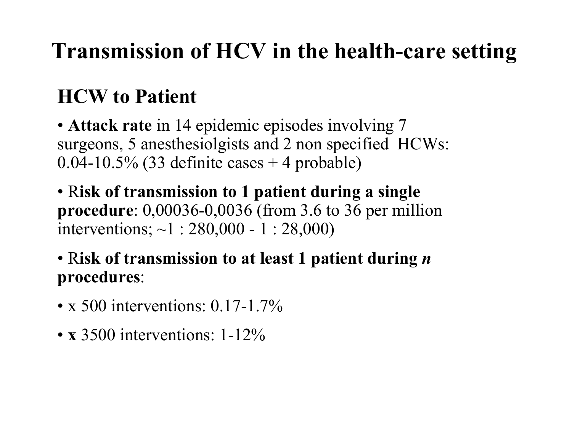### **Transmission of HCV in the health-care setting**

### **HCW to Patient**

- **Attack rate** in 14 epidemic episodes involving 7 surgeons, 5 anesthesiolgists and 2 non specified HCWs: 0.04-10.5% (33 definite cases  $+$  4 probable)
- R**isk of transmission to 1 patient during a single procedure**: 0,00036-0,0036 (from 3.6 to 36 per million interventions; ~1 : 280,000 - 1 : 28,000)
- R**isk of transmission to at least 1 patient during**  *n* **procedures**:
- x 500 interventions:  $0.17$ -1.7%
- **<sup>x</sup>**3500 interventions: 1-12%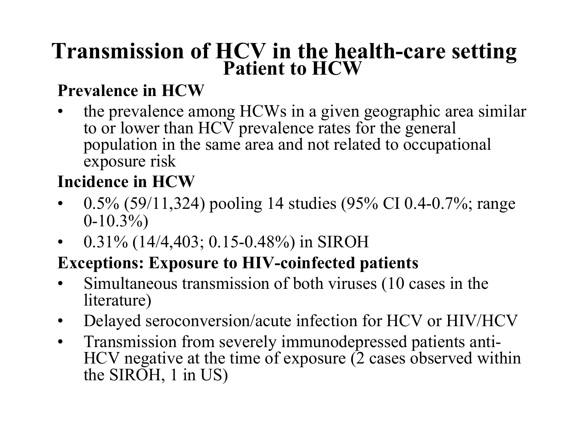# **Transmission of HCV in the health-care setting Patient to HCW**

#### **Prevalence in HCW**

•the prevalence among HCWs in a given geographic area similar to or lower than HCV prevalence rates for the general population in the same area and not related to occupational exposure risk

#### **Incidence in HCW**

- • 0.5% (59/11,324) pooling 14 studies (95% CI 0.4-0.7%; range  $0-10.3\%$
- •0.31% (14/4,403; 0.15-0.48%) in SIROH

#### **Exceptions: Exposure to HIV-coinfected patients**

- •Simultaneous transmission of both viruses (10 cases in the literature)
- •Delayed seroconversion/acute infection for HCV or HIV/HCV
- $\bullet$ Transmission from severely immunodepressed patients anti-HCV negative at the time of exposure (2 cases observed within the SIROH, 1 in US)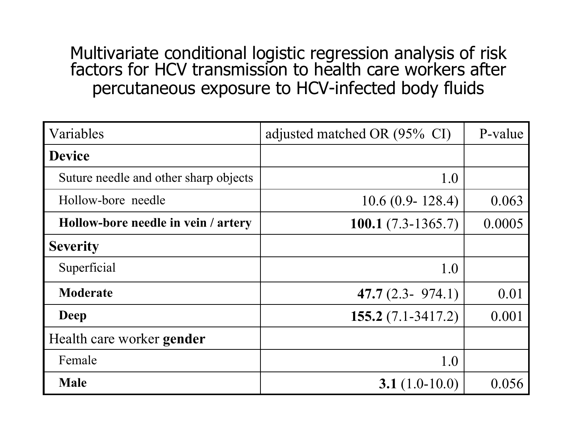Multivariate conditional logistic regression analysis of risk factors for HCV transmission to health care workers after percutaneous exposure to HCV-infected body fluids

| Variables                             | adjusted matched OR (95% CI) | P-value |
|---------------------------------------|------------------------------|---------|
| <b>Device</b>                         |                              |         |
| Suture needle and other sharp objects | 1.0                          |         |
| Hollow-bore needle                    | $10.6(0.9 - 128.4)$          | 0.063   |
| Hollow-bore needle in vein / artery   | 100.1 $(7.3-1365.7)$         | 0.0005  |
| <b>Severity</b>                       |                              |         |
| Superficial                           | 1.0                          |         |
| <b>Moderate</b>                       | 47.7 $(2.3 - 974.1)$         | 0.01    |
| Deep                                  | 155.2 $(7.1 - 3417.2)$       | 0.001   |
| Health care worker <b>gender</b>      |                              |         |
| Female                                | 1.0                          |         |
| <b>Male</b>                           | 3.1 $(1.0-10.0)$             | 0.056   |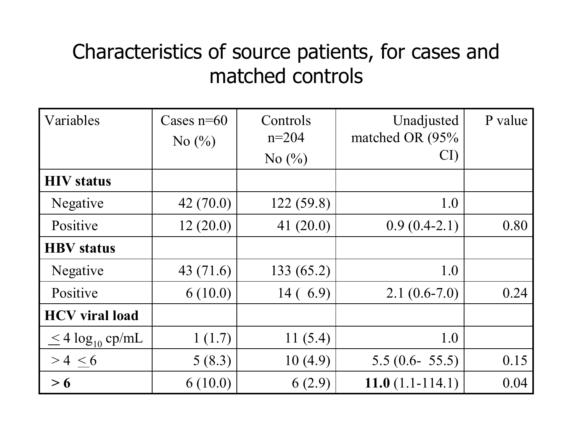#### Characteristics of source patients, for cases and matched controls

| Variables                  | Cases $n=60$                  | Controls                      | Unadjusted        | P value |
|----------------------------|-------------------------------|-------------------------------|-------------------|---------|
|                            | No $\left(\frac{0}{0}\right)$ | $n=204$                       | matched OR (95%   |         |
|                            |                               | No $\left(\frac{0}{0}\right)$ | CI                |         |
| <b>HIV</b> status          |                               |                               |                   |         |
| Negative                   | 42(70.0)                      | 122(59.8)                     | 1.0               |         |
| Positive                   | 12(20.0)                      | 41 $(20.0)$                   | $0.9(0.4-2.1)$    | 0.80    |
| <b>HBV</b> status          |                               |                               |                   |         |
| Negative                   | 43 (71.6)                     | 133 (65.2)                    | 1.0               |         |
| Positive                   | 6(10.0)                       | 14(6.9)                       | $2.1(0.6-7.0)$    | 0.24    |
| <b>HCV</b> viral load      |                               |                               |                   |         |
| $\leq$ 4 $\log_{10}$ cp/mL | 1(1.7)                        | 11 $(5.4)$                    | 1.0               |         |
| > 4 < 6                    | 5(8.3)                        | 10(4.9)                       | $5.5(0.6 - 55.5)$ | 0.15    |
| > 6                        | 6(10.0)                       | 6(2.9)                        | $11.0(1.1-114.1)$ | 0.04    |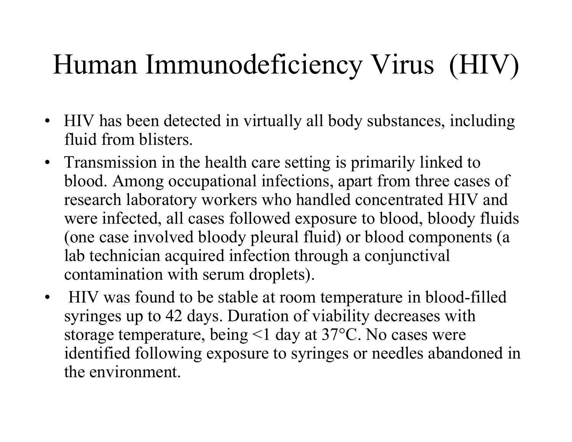# Human Immunodeficiency Virus (HIV)

- HIV has been detected in virtually all body substances, including fluid from blisters.
- Transmission in the health care setting is primarily linked to blood. Among occupational infections, apart from three cases of research laboratory workers who handled concentrated HIV and were infected, all cases followed exposure to blood, bloody fluids (one case involved bloody pleural fluid) or blood components (a lab technician acquired infection through a conjunctival contamination with serum droplets).
- HIV was found to be stable at room temperature in blood-filled syringes up to 42 days. Duration of viability decreases with storage temperature, being <1 day at 37°C. No cases were identified following exposure to syringes or needles abandoned in the environment.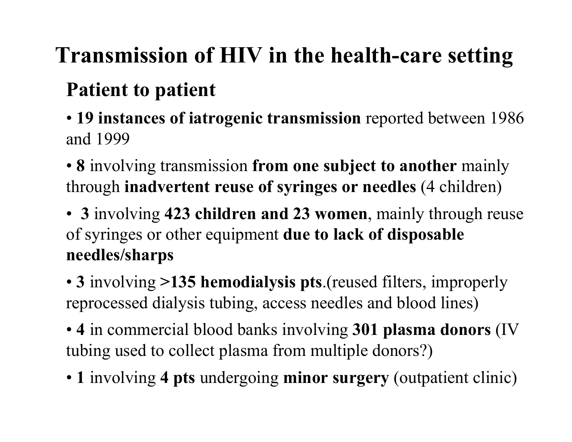# **Transmission of HIV in the health-care setting**

#### **Patient to patient**

- **19 instances of iatrogenic transmission** reported between 1986 and 1999
- **8** involving transmission **from one subject to another** mainly through **inadvertent reuse of syringes or needles** (4 children)
- **3** involving **423 children and 23 women**, mainly through reuse of syringes or other equipment **due to lack of disposable needles/sharps**
- **3** involving **>135 hemodialysis pts**.(reused filters, improperly reprocessed dialysis tubing, access needles and blood lines)
- **4** in commercial blood banks involving **301 plasma donors** (IV tubing used to collect plasma from multiple donors?)
- **1** involving **4 pts** undergoing **minor surgery** (outpatient clinic)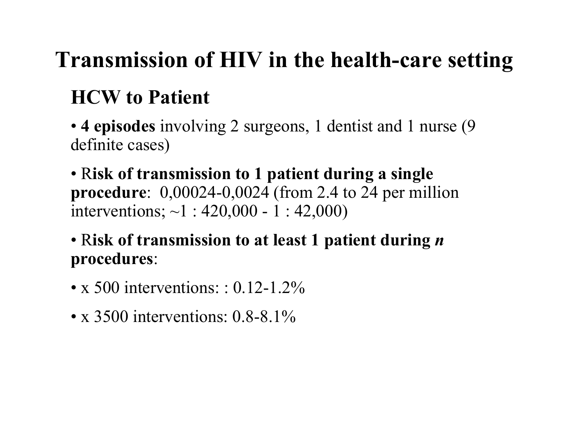# **Transmission of HIV in the health-care setting**

### **HCW to Patient**

• **4 episodes** involving 2 surgeons, 1 dentist and 1 nurse (9 definite cases)

• R**isk of transmission to 1 patient during a single procedure**: 0,00024-0,0024 (from 2.4 to 24 per million interventions; ~1 : 420,000 - 1 : 42,000)

• R**isk of transmission to at least 1 patient during**  *n* **procedures**:

- x 500 interventions: : 0.12-1.2%
- x 3500 interventions: 0.8-8.1%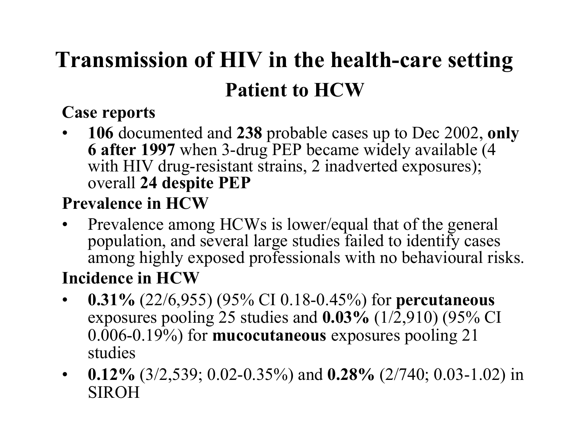# **Transmission of HIV in the health-care setting Patient to HCW**

#### **Case reports**

• **106** documented and **238** probable cases up to Dec 2002, **only 6 after 1997** when 3-drug PEP became widely available (4 with HIV drug-resistant strains, 2 inadverted exposures); overall **24 despite PEP**

#### **Prevalence in HCW**

- •Prevalence among HCWs is lower/equal that of the general population, and several large studies failed to identify cases among highly exposed professionals with no behavioural risks. **Incidence in HCW**
- $\bullet$  **0.31%** (22/6,955) (95% CI 0.18-0.45%) for **percutaneous** exposures pooling 25 studies and **0.03%** (1/2,910) (95% CI 0.006-0.19%) for **mucocutaneous** exposures pooling 21 studies
- • **0.12%** (3/2,539; 0.02-0.35%) and **0.28%** (2/740; 0.03-1.02) in SIROH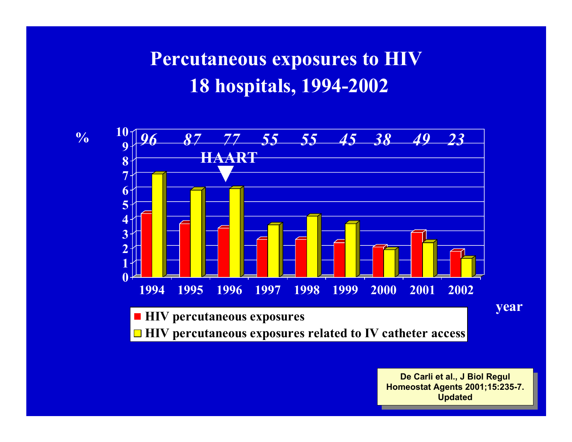#### **Percutaneous exposures to HIV 18 hospitals, 1994-2002**





**De CarliDe Carli et al., J Biol Regul et al., J Biol Regul Homeostat Agents 2001;15:2 35-7. Homeostat Agents 2001;15:235-7. Updated Updated**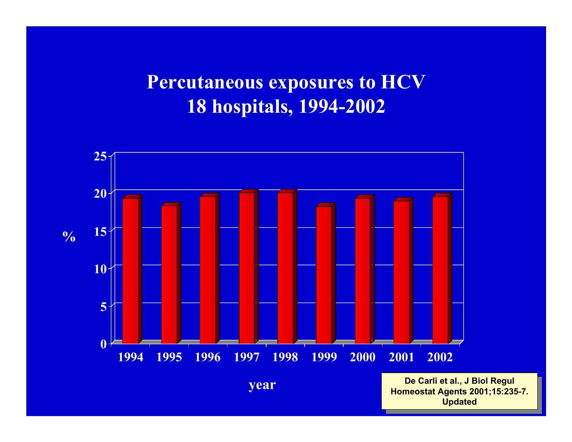#### **Percutaneous exposures to HCV 18 hospitals, 1994-2002**



**De CarliDe Carli et al., J Biol Regul et al., J Biol Regul Homeostat Agents 2001;15:2 35-7. Homeostat Agents 2001;15:2 3 5-7. Updated Updated**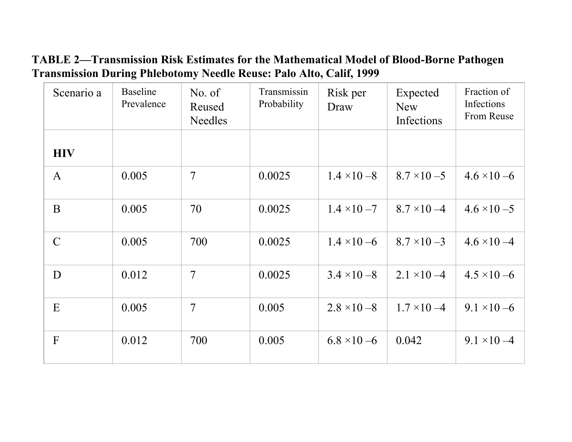#### **TABLE 2—Transmission Risk Estimates for the Mathematical Model of Blood-Borne Pathogen Transmission During Phlebotomy Needle Reuse: Palo Alto, Calif, 1999**

| Scenario a    | <b>Baseline</b><br>Prevalence | No. of<br>Reused<br><b>Needles</b> | Transmissin<br>Probability | Risk per<br>Draw    | Expected<br><b>New</b><br>Infections | Fraction of<br>Infections<br>From Reuse |
|---------------|-------------------------------|------------------------------------|----------------------------|---------------------|--------------------------------------|-----------------------------------------|
| <b>HIV</b>    |                               |                                    |                            |                     |                                      |                                         |
| $\mathbf{A}$  | 0.005                         | 7                                  | 0.0025                     | $1.4 \times 10 - 8$ | $8.7 \times 10 - 5$                  | $4.6 \times 10 - 6$                     |
| $\mathbf{B}$  | 0.005                         | 70                                 | 0.0025                     | $1.4 \times 10 - 7$ | $8.7 \times 10 - 4$                  | $4.6 \times 10 - 5$                     |
| $\mathcal{C}$ | 0.005                         | 700                                | 0.0025                     | $1.4 \times 10 - 6$ | $8.7 \times 10 - 3$                  | $4.6 \times 10 - 4$                     |
| D             | 0.012                         | $\overline{7}$                     | 0.0025                     | $3.4 \times 10 - 8$ | $2.1 \times 10 - 4$                  | $4.5 \times 10 - 6$                     |
| E             | 0.005                         | 7                                  | 0.005                      | $2.8 \times 10 - 8$ | $1.7 \times 10 - 4$                  | $9.1 \times 10 - 6$                     |
| F             | 0.012                         | 700                                | 0.005                      | $6.8 \times 10 - 6$ | 0.042                                | $9.1 \times 10 - 4$                     |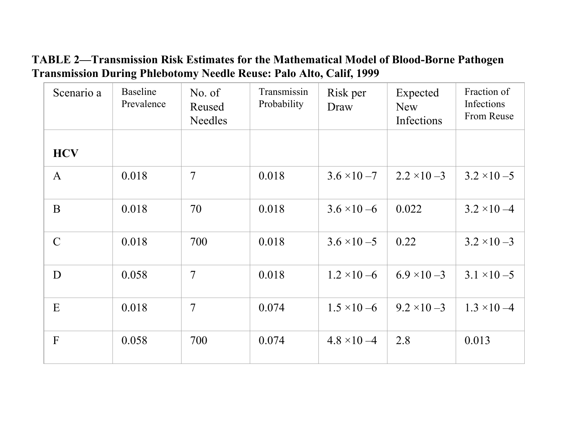#### **TABLE 2—Transmission Risk Estimates for the Mathematical Model of Blood-Borne Pathogen Transmission During Phlebotomy Needle Reuse: Palo Alto, Calif, 1999**

| Scenario a    | <b>Baseline</b><br>Prevalence | No. of<br>Reused<br><b>Needles</b> | Transmissin<br>Probability | Risk per<br>Draw    | Expected<br><b>New</b><br>Infections | Fraction of<br>Infections<br>From Reuse |
|---------------|-------------------------------|------------------------------------|----------------------------|---------------------|--------------------------------------|-----------------------------------------|
| <b>HCV</b>    |                               |                                    |                            |                     |                                      |                                         |
| $\mathbf{A}$  | 0.018                         | 7                                  | 0.018                      | $3.6 \times 10 - 7$ | $2.2 \times 10 - 3$                  | $3.2 \times 10 - 5$                     |
| $\mathbf{B}$  | 0.018                         | 70                                 | 0.018                      | $3.6 \times 10 - 6$ | 0.022                                | $3.2 \times 10 - 4$                     |
| $\mathcal{C}$ | 0.018                         | 700                                | 0.018                      | $3.6 \times 10 - 5$ | 0.22                                 | $3.2 \times 10 - 3$                     |
| D             | 0.058                         | $\overline{7}$                     | 0.018                      | $1.2 \times 10 - 6$ | $6.9 \times 10 - 3$                  | $3.1 \times 10 - 5$                     |
| E             | 0.018                         | 7                                  | 0.074                      | $1.5 \times 10 - 6$ | $9.2 \times 10 - 3$                  | $1.3 \times 10 - 4$                     |
| F             | 0.058                         | 700                                | 0.074                      | $4.8 \times 10 - 4$ | 2.8                                  | 0.013                                   |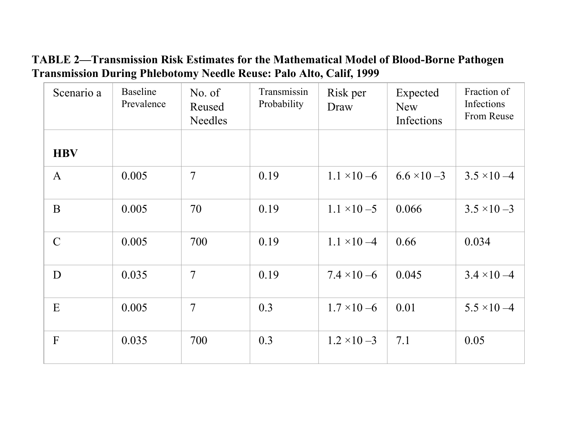#### **TABLE 2—Transmission Risk Estimates for the Mathematical Model of Blood-Borne Pathogen Transmission During Phlebotomy Needle Reuse: Palo Alto, Calif, 1999**

| Scenario a    | <b>Baseline</b><br>Prevalence | No. of<br>Reused<br><b>Needles</b> | Transmissin<br>Probability | Risk per<br>Draw    | Expected<br><b>New</b><br>Infections | Fraction of<br>Infections<br>From Reuse |
|---------------|-------------------------------|------------------------------------|----------------------------|---------------------|--------------------------------------|-----------------------------------------|
| <b>HBV</b>    |                               |                                    |                            |                     |                                      |                                         |
| $\mathbf{A}$  | 0.005                         | $\overline{7}$                     | 0.19                       | $1.1 \times 10 - 6$ | $6.6 \times 10 - 3$                  | $3.5 \times 10 - 4$                     |
| $\mathbf{B}$  | 0.005                         | 70                                 | 0.19                       | $1.1 \times 10 - 5$ | 0.066                                | $3.5 \times 10 - 3$                     |
| $\mathcal{C}$ | 0.005                         | 700                                | 0.19                       | $1.1 \times 10 - 4$ | 0.66                                 | 0.034                                   |
| D             | 0.035                         | $\overline{7}$                     | 0.19                       | $7.4 \times 10 - 6$ | 0.045                                | $3.4 \times 10 - 4$                     |
| E             | 0.005                         | 7                                  | 0.3                        | $1.7 \times 10 - 6$ | 0.01                                 | $5.5 \times 10 - 4$                     |
| F             | 0.035                         | 700                                | 0.3                        | $1.2 \times 10 - 3$ | 7.1                                  | 0.05                                    |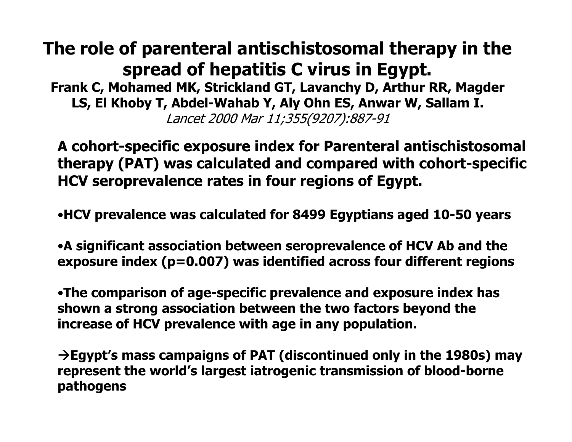#### **The role of parenteral antischistosomal therapy in the spread of hepatitis C virus in Egypt.**

**Frank C, Mohamed MK, Strickland GT, Lavanchy D, Arthur RR, Magder LS, El Khoby T, Abd el-Wahab Y, Aly Ohn ES, Anwar W, Sallam I.** Lancet 2000 Mar 11;355(9207):887-91

**A cohort-specific exposure index for Parenteral antischistosomal therapy (PAT) was calculated and compared with cohort-specific HCV seroprevalence rates in four regions of Egypt.**

•**HCV prevalence was calculated for 8499 Egyptians aged 10-50 years**

•**A significant association between seroprevalence of HCV Ab and the exposure index (p=0.007) was identified across four different regions**

•**The comparison of age-specific prevalence and exposure index has shown a strong association between the two factors beyond the increase of HCV prevalence with age in any population.**

Æ**Egypt's mass campaigns of PAT (discontinued only in the 1980s) may represent the world's largest iatrogenic transmission of blood-borne pathogens**